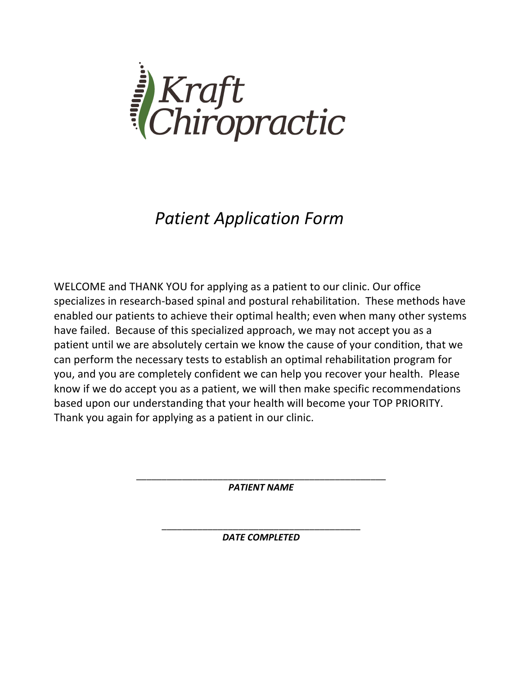

# *Patient Application Form*

WELCOME and THANK YOU for applying as a patient to our clinic. Our office specializes in research-based spinal and postural rehabilitation. These methods have enabled our patients to achieve their optimal health; even when many other systems have failed. Because of this specialized approach, we may not accept you as a patient until we are absolutely certain we know the cause of your condition, that we can perform the necessary tests to establish an optimal rehabilitation program for you, and you are completely confident we can help you recover your health. Please know if we do accept you as a patient, we will then make specific recommendations based upon our understanding that your health will become your TOP PRIORITY. Thank you again for applying as a patient in our clinic.

> \_\_\_\_\_\_\_\_\_\_\_\_\_\_\_\_\_\_\_\_\_\_\_\_\_\_\_\_\_\_\_\_\_\_\_\_\_\_\_\_\_\_\_\_\_\_\_\_\_ *PATIENT NAME*

> > \_\_\_\_\_\_\_\_\_\_\_\_\_\_\_\_\_\_\_\_\_\_\_\_\_\_\_\_\_\_\_\_\_\_\_\_\_\_\_ *DATE COMPLETED*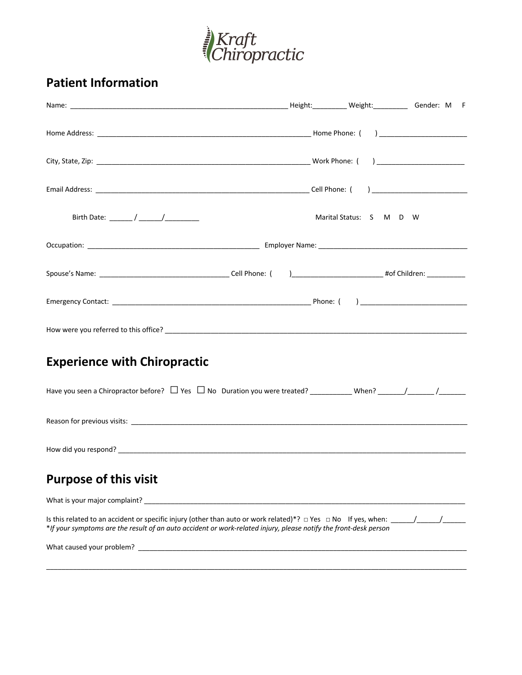

# **Patient Information**

|                                                                                                                                                                                                                                | Marital Status: S M D W |  |
|--------------------------------------------------------------------------------------------------------------------------------------------------------------------------------------------------------------------------------|-------------------------|--|
|                                                                                                                                                                                                                                |                         |  |
|                                                                                                                                                                                                                                |                         |  |
|                                                                                                                                                                                                                                |                         |  |
|                                                                                                                                                                                                                                |                         |  |
| <b>Experience with Chiropractic</b>                                                                                                                                                                                            |                         |  |
|                                                                                                                                                                                                                                |                         |  |
|                                                                                                                                                                                                                                |                         |  |
|                                                                                                                                                                                                                                |                         |  |
| <b>Purpose of this visit</b>                                                                                                                                                                                                   |                         |  |
| What is your major complaint? The same of the state of the state of the state of the state of the state of the state of the state of the state of the state of the state of the state of the state of the state of the state o |                         |  |
| *If your symptoms are the result of an auto accident or work-related injury, please notify the front-desk person                                                                                                               |                         |  |
|                                                                                                                                                                                                                                |                         |  |
|                                                                                                                                                                                                                                |                         |  |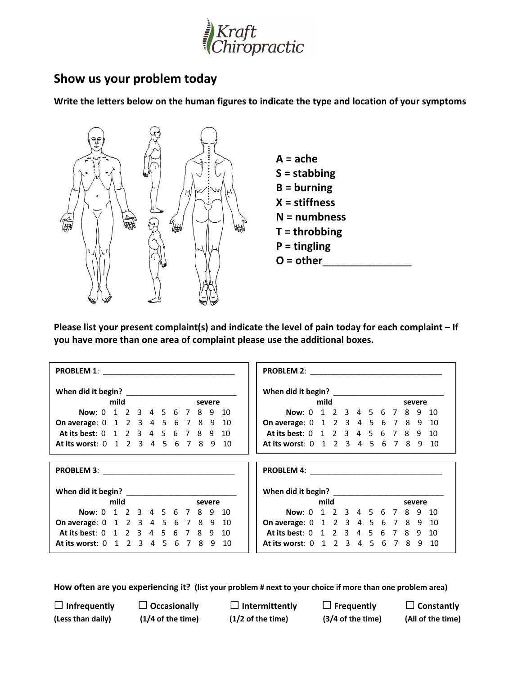

## **Show us your problem today**

**Write the letters below on the human figures to indicate the type and location of your symptoms** 



**Please list your present complaint(s) and indicate the level of pain today for each complaint – If you have more than one area of complaint please use the additional boxes.** 

|                                           | When did it begin?                   |        |
|-------------------------------------------|--------------------------------------|--------|
| mild<br>severe                            | mild                                 | severe |
| Now: 0 1 2 3 4 5 6 7 8 9 10               | Now: 0 1 2 3 4 5 6 7 8 9 10          |        |
| <b>On average:</b> 0 1 2 3 4 5 6 7 8 9 10 | On average: 0 1 2 3 4 5 6 7 8 9 10   |        |
| At its best: 0 1 2 3 4 5 6 7 8 9 10       | At its best: 0 1 2 3 4 5 6 7 8 9 10  |        |
| At its worst: 0 1 2 3 4 5 6 7 8 9 10      | At its worst: 0 1 2 3 4 5 6 7 8 9 10 |        |
|                                           |                                      |        |
|                                           |                                      |        |
|                                           |                                      |        |
|                                           | When did it begin? _______________   |        |
| mild<br>severe                            | mild                                 | severe |
| Now: 0 1 2 3 4 5 6 7 8 9 10               | Now: 0 1 2 3 4 5 6 7 8 9 10          |        |
| On average: 0 1 2 3 4 5 6 7 8 9 10        | On average: 0 1 2 3 4 5 6 7 8 9 10   |        |
| At its best: 0 1 2 3 4 5 6 7 8 9 10       | At its best: 0 1 2 3 4 5 6 7 8 9     | 10     |
| At its worst: 0 1 2 3 4 5 6 7 8 9 10      | At its worst: 0 1 2 3 4 5 6 7 8 9 10 |        |

**How often are you experiencing it? (list your problem # next to your choice if more than one problem area)**

□**Infrequently** □ **Occasionally** □**Intermittently** □**Frequently** □**Constantly (Less than daily) (1/4 of the time) (1/2 of the time) (3/4 of the time) (All of the time)**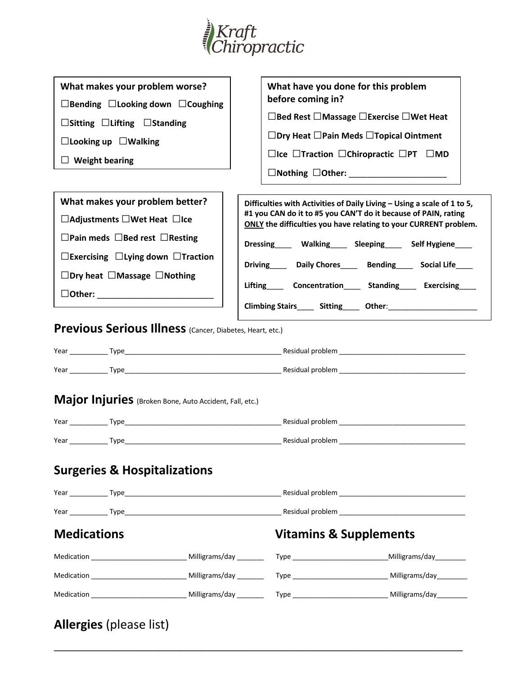

| What makes your problem worse?                           |                                                               | What have you done for this problem                                                                                                |  |
|----------------------------------------------------------|---------------------------------------------------------------|------------------------------------------------------------------------------------------------------------------------------------|--|
| $\Box$ Bending $\Box$ Looking down $\Box$ Coughing       |                                                               | before coming in?                                                                                                                  |  |
| $\Box$ Sitting $\Box$ Lifting $\Box$ Standing            |                                                               | □Bed Rest □Massage □Exercise □Wet Heat                                                                                             |  |
| $\Box$ Looking up $\Box$ Walking                         |                                                               | $\Box$ Dry Heat $\Box$ Pain Meds $\Box$ Topical Ointment                                                                           |  |
| $\Box$ Weight bearing                                    |                                                               | $\Box$ Ice $\Box$ Traction $\Box$ Chiropractic $\Box$ PT $\Box$ MD                                                                 |  |
|                                                          |                                                               |                                                                                                                                    |  |
| What makes your problem better?                          |                                                               | Difficulties with Activities of Daily Living - Using a scale of 1 to 5,                                                            |  |
| $\Box$ Adjustments $\Box$ Wet Heat $\Box$ Ice            |                                                               | #1 you CAN do it to #5 you CAN'T do it because of PAIN, rating<br>ONLY the difficulties you have relating to your CURRENT problem. |  |
| $\Box$ Pain meds $\Box$ Bed rest $\Box$ Resting          |                                                               | Dressing Walking Sleeping Self Hygiene                                                                                             |  |
| $\Box$ Exercising $\Box$ Lying down $\Box$ Traction      | Driving______ Daily Chores_____ Bending_____ Social Life_____ |                                                                                                                                    |  |
| $\Box$ Dry heat $\Box$ Massage $\Box$ Nothing            |                                                               |                                                                                                                                    |  |
| DOther: ___________________________                      | Lifting Concentration Standing Exercising                     |                                                                                                                                    |  |
|                                                          |                                                               |                                                                                                                                    |  |
|                                                          |                                                               |                                                                                                                                    |  |
| Previous Serious Illness (Cancer, Diabetes, Heart, etc.) |                                                               |                                                                                                                                    |  |
|                                                          |                                                               |                                                                                                                                    |  |
|                                                          |                                                               |                                                                                                                                    |  |
| Major Injuries (Broken Bone, Auto Accident, Fall, etc.)  |                                                               |                                                                                                                                    |  |
|                                                          |                                                               | Year Type Type Residual problem New Year New York 2012 19:00 New Year New York 2012 19:00 New York 2012 19:00                      |  |
| <b>Surgeries &amp; Hospitalizations</b>                  |                                                               |                                                                                                                                    |  |
|                                                          |                                                               |                                                                                                                                    |  |
| <b>Medications</b>                                       |                                                               | <b>Vitamins &amp; Supplements</b>                                                                                                  |  |
|                                                          |                                                               |                                                                                                                                    |  |
|                                                          |                                                               |                                                                                                                                    |  |

**\_\_\_\_\_\_\_\_\_\_\_\_\_\_\_\_\_\_\_\_\_\_\_\_\_\_\_\_\_\_\_\_\_\_\_\_\_\_\_\_\_\_\_\_\_\_\_\_\_\_\_\_\_\_\_\_\_\_\_\_\_\_\_\_\_\_\_\_\_\_\_\_\_\_\_\_\_\_\_\_\_\_\_\_\_\_\_\_\_\_\_\_\_\_\_\_\_\_\_\_\_\_\_\_\_\_\_**

# **Allergies** (please list)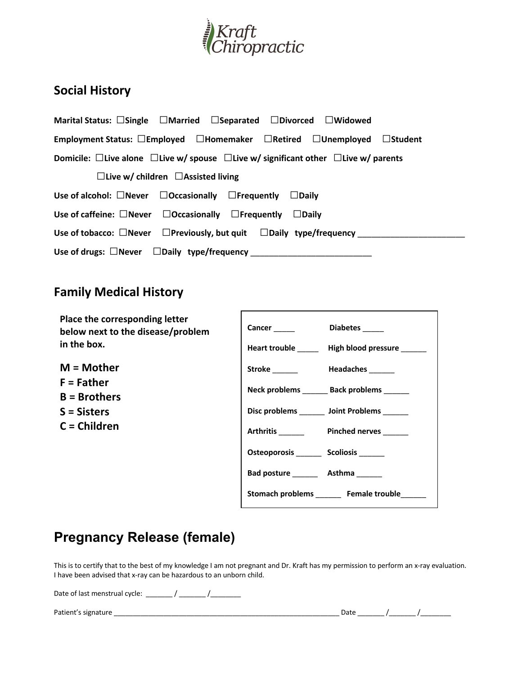

# **Social History**

| Marital Status: $\Box$ Single $\Box$ Married $\Box$ Separated $\Box$ Divorced $\Box$ Widowed              |
|-----------------------------------------------------------------------------------------------------------|
| Employment Status: □Employed □Homemaker □Retired □Unemployed □Student                                     |
| Domicile: $\Box$ Live alone $\Box$ Live w/ spouse $\Box$ Live w/ significant other $\Box$ Live w/ parents |
| $\Box$ Live w/ children $\Box$ Assisted living                                                            |
| Use of alcohol: $\Box$ Never $\Box$ Occasionally $\Box$ Frequently $\Box$ Daily                           |
| Use of caffeine: $\Box$ Never $\Box$ Occasionally $\Box$ Frequently $\Box$ Daily                          |
| Use of tobacco: $\Box$ Never $\Box$ Previously, but quit $\Box$ Daily type/frequency                      |
| Use of drugs: $\Box$ Never $\Box$ Daily type/frequency                                                    |

## **Family Medical History**

**Place the corresponding letter below next to the disease/problem in the box.**

**M = Mother F = Father B = Brothers S = Sisters C = Children**

| <b>Cancer</b> ______                    | Diabetes _____                                  |
|-----------------------------------------|-------------------------------------------------|
|                                         | Heart trouble ______ High blood pressure ______ |
| Stroke ________ Headaches ______        |                                                 |
|                                         | Neck problems _______ Back problems ______      |
|                                         | Disc problems _______ Joint Problems ______     |
|                                         | Arthritis Pinched nerves                        |
| Osteoporosis ________ Scoliosis _______ |                                                 |
| Bad posture _________ Asthma _______    |                                                 |
|                                         | Stomach problems Female trouble                 |

# **Pregnancy Release (female)**

This is to certify that to the best of my knowledge I am not pregnant and Dr. Kraft has my permission to perform an x-ray evaluation. I have been advised that x-ray can be hazardous to an unborn child.

Date of last menstrual cycle:  $\frac{1}{2}$  / \_\_\_\_\_\_\_ / \_\_\_\_\_\_\_\_

Patient's signature \_\_\_\_

| Date |  |
|------|--|
|------|--|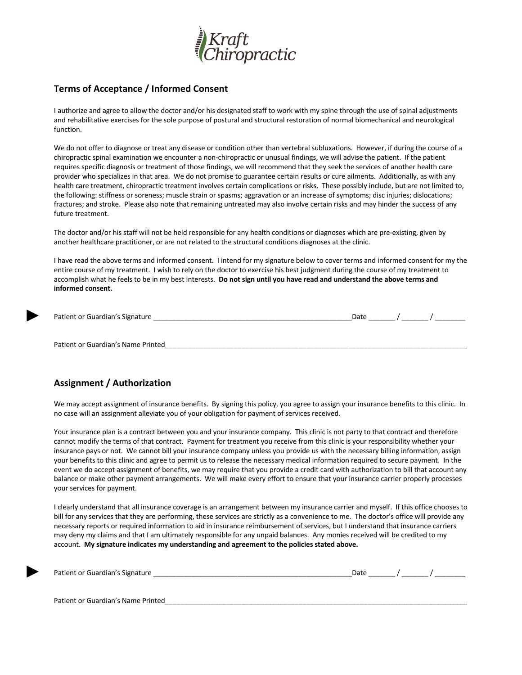

#### **Terms of Acceptance / Informed Consent**

I authorize and agree to allow the doctor and/or his designated staff to work with my spine through the use of spinal adjustments and rehabilitative exercises for the sole purpose of postural and structural restoration of normal biomechanical and neurological function.

We do not offer to diagnose or treat any disease or condition other than vertebral subluxations. However, if during the course of a chiropractic spinal examination we encounter a non-chiropractic or unusual findings, we will advise the patient. If the patient requires specific diagnosis or treatment of those findings, we will recommend that they seek the services of another health care provider who specializes in that area. We do not promise to guarantee certain results or cure ailments. Additionally, as with any health care treatment, chiropractic treatment involves certain complications or risks. These possibly include, but are not limited to, the following: stiffness or soreness; muscle strain or spasms; aggravation or an increase of symptoms; disc injuries; dislocations; fractures; and stroke. Please also note that remaining untreated may also involve certain risks and may hinder the success of any future treatment.

The doctor and/or his staff will not be held responsible for any health conditions or diagnoses which are pre-existing, given by another healthcare practitioner, or are not related to the structural conditions diagnoses at the clinic.

I have read the above terms and informed consent. I intend for my signature below to cover terms and informed consent for my the entire course of my treatment. I wish to rely on the doctor to exercise his best judgment during the course of my treatment to accomplish what he feels to be in my best interests. **Do not sign until you have read and understand the above terms and informed consent.**

| Patient or Guardian's Signature | Date |  |  |
|---------------------------------|------|--|--|
|                                 |      |  |  |
|                                 |      |  |  |

Patient or Guardian's Name Printed

►

►

#### **Assignment / Authorization**

We may accept assignment of insurance benefits. By signing this policy, you agree to assign your insurance benefits to this clinic. In no case will an assignment alleviate you of your obligation for payment of services received.

Your insurance plan is a contract between you and your insurance company. This clinic is not party to that contract and therefore cannot modify the terms of that contract. Payment for treatment you receive from this clinic is your responsibility whether your insurance pays or not. We cannot bill your insurance company unless you provide us with the necessary billing information, assign your benefits to this clinic and agree to permit us to release the necessary medical information required to secure payment. In the event we do accept assignment of benefits, we may require that you provide a credit card with authorization to bill that account any balance or make other payment arrangements. We will make every effort to ensure that your insurance carrier properly processes your services for payment.

I clearly understand that all insurance coverage is an arrangement between my insurance carrier and myself. If this office chooses to bill for any services that they are performing, these services are strictly as a convenience to me. The doctor's office will provide any necessary reports or required information to aid in insurance reimbursement of services, but I understand that insurance carriers may deny my claims and that I am ultimately responsible for any unpaid balances. Any monies received will be credited to my account. **My signature indicates my understanding and agreement to the policies stated above.**

| Patient or Guardian's Signature    | Date |  |
|------------------------------------|------|--|
|                                    |      |  |
|                                    |      |  |
| Patient or Guardian's Name Printed |      |  |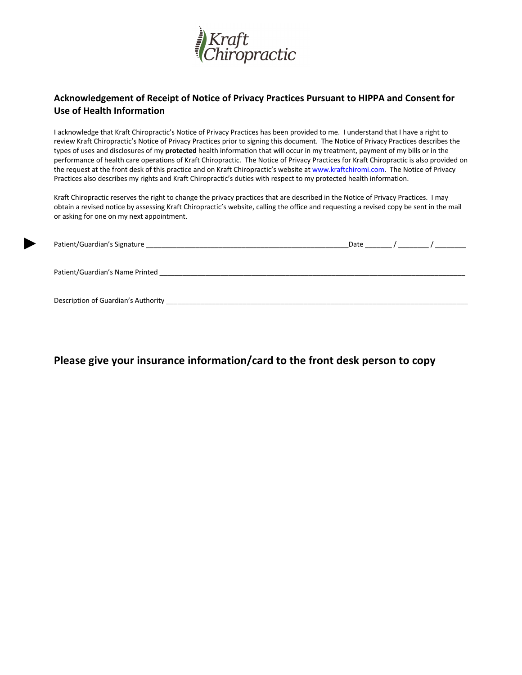

#### **Acknowledgement of Receipt of Notice of Privacy Practices Pursuant to HIPPA and Consent for Use of Health Information**

I acknowledge that Kraft Chiropractic's Notice of Privacy Practices has been provided to me. I understand that I have a right to review Kraft Chiropractic's Notice of Privacy Practices prior to signing this document. The Notice of Privacy Practices describes the types of uses and disclosures of my **protected** health information that will occur in my treatment, payment of my bills or in the performance of health care operations of Kraft Chiropractic. The Notice of Privacy Practices for Kraft Chiropractic is also provided on the request at the front desk of this practice and on Kraft Chiropractic's website at www.kraftchiromi.com. The Notice of Privacy Practices also describes my rights and Kraft Chiropractic's duties with respect to my protected health information.

Kraft Chiropractic reserves the right to change the privacy practices that are described in the Notice of Privacy Practices. I may obtain a revised notice by assessing Kraft Chiropractic's website, calling the office and requesting a revised copy be sent in the mail or asking for one on my next appointment.

| Patient/Guardian's Signature        | Date | $\overline{a}$ $\overline{a}$ $\overline{a}$ $\overline{a}$ $\overline{a}$ $\overline{a}$ $\overline{a}$ $\overline{a}$ $\overline{a}$ $\overline{a}$ $\overline{a}$ $\overline{a}$ $\overline{a}$ $\overline{a}$ $\overline{a}$ $\overline{a}$ $\overline{a}$ $\overline{a}$ $\overline{a}$ $\overline{a}$ $\overline{a}$ $\overline{a}$ $\overline{a}$ $\overline{a}$ $\overline{$ |
|-------------------------------------|------|--------------------------------------------------------------------------------------------------------------------------------------------------------------------------------------------------------------------------------------------------------------------------------------------------------------------------------------------------------------------------------------|
| Patient/Guardian's Name Printed     |      |                                                                                                                                                                                                                                                                                                                                                                                      |
| Description of Guardian's Authority |      |                                                                                                                                                                                                                                                                                                                                                                                      |

►

### **Please give your insurance information/card to the front desk person to copy**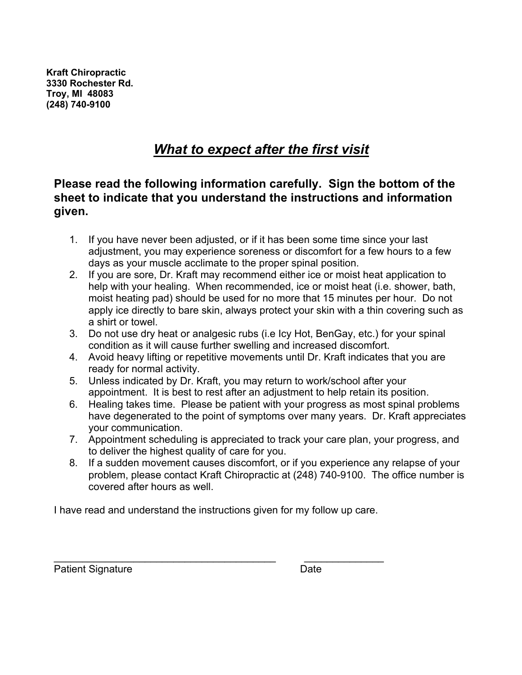**Kraft Chiropractic 3330 Rochester Rd. Troy, MI 48083 (248) 740-9100** 

# *What to expect after the first visit*

## **Please read the following information carefully. Sign the bottom of the sheet to indicate that you understand the instructions and information given.**

- 1. If you have never been adjusted, or if it has been some time since your last adjustment, you may experience soreness or discomfort for a few hours to a few days as your muscle acclimate to the proper spinal position.
- 2. If you are sore, Dr. Kraft may recommend either ice or moist heat application to help with your healing. When recommended, ice or moist heat (i.e. shower, bath, moist heating pad) should be used for no more that 15 minutes per hour. Do not apply ice directly to bare skin, always protect your skin with a thin covering such as a shirt or towel.
- 3. Do not use dry heat or analgesic rubs (i.e Icy Hot, BenGay, etc.) for your spinal condition as it will cause further swelling and increased discomfort.
- 4. Avoid heavy lifting or repetitive movements until Dr. Kraft indicates that you are ready for normal activity.
- 5. Unless indicated by Dr. Kraft, you may return to work/school after your appointment. It is best to rest after an adjustment to help retain its position.
- 6. Healing takes time. Please be patient with your progress as most spinal problems have degenerated to the point of symptoms over many years. Dr. Kraft appreciates your communication.
- 7. Appointment scheduling is appreciated to track your care plan, your progress, and to deliver the highest quality of care for you.
- 8. If a sudden movement causes discomfort, or if you experience any relapse of your problem, please contact Kraft Chiropractic at (248) 740-9100. The office number is covered after hours as well.

I have read and understand the instructions given for my follow up care.

\_\_\_\_\_\_\_\_\_\_\_\_\_\_\_\_\_\_\_\_\_\_\_\_\_\_\_\_\_\_\_\_\_\_\_\_\_\_\_ \_\_\_\_\_\_\_\_\_\_\_\_\_\_

Patient Signature Date Date